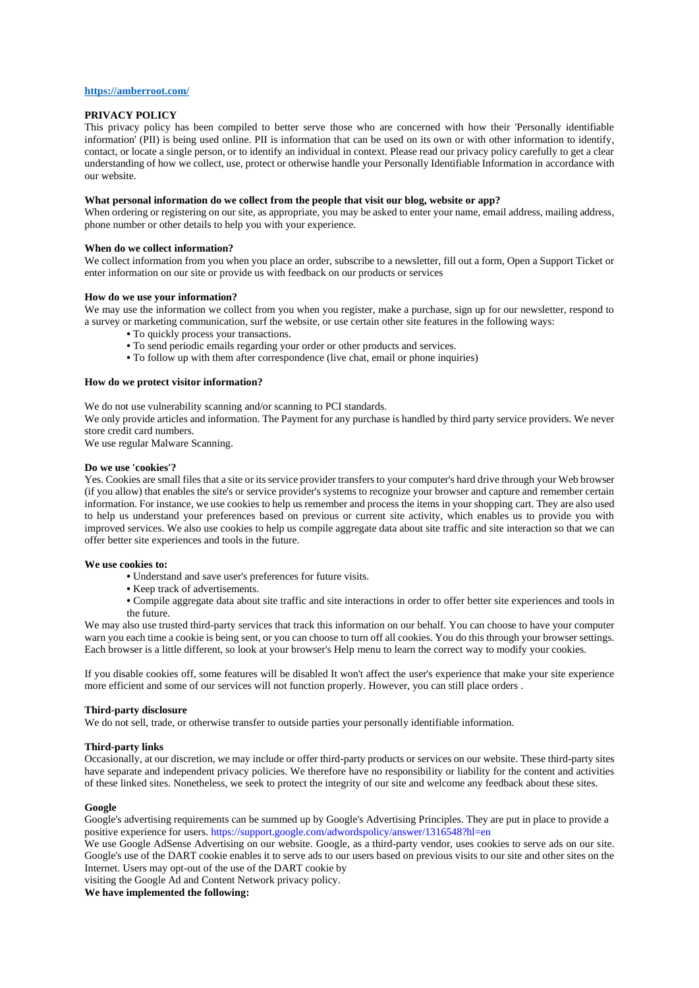### **<https://amberroot.com/>**

## **PRIVACY POLICY**

This privacy policy has been compiled to better serve those who are concerned with how their 'Personally identifiable information' (PII) is being used online. PII is information that can be used on its own or with other information to identify, contact, or locate a single person, or to identify an individual in context. Please read our privacy policy carefully to get a clear understanding of how we collect, use, protect or otherwise handle your Personally Identifiable Information in accordance with our website.

#### **What personal information do we collect from the people that visit our blog, website or app?**

When ordering or registering on our site, as appropriate, you may be asked to enter your name, email address, mailing address, phone number or other details to help you with your experience.

### **When do we collect information?**

We collect information from you when you place an order, subscribe to a newsletter, fill out a form, Open a Support Ticket or enter information on our site or provide us with feedback on our products or services

## **How do we use your information?**

We may use the information we collect from you when you register, make a purchase, sign up for our newsletter, respond to a survey or marketing communication, surf the website, or use certain other site features in the following ways:

- **•** To quickly process your transactions.
- **•** To send periodic emails regarding your order or other products and services.
- **•** To follow up with them after correspondence (live chat, email or phone inquiries)

## **How do we protect visitor information?**

We do not use vulnerability scanning and/or scanning to PCI standards.

We only provide articles and information. The Payment for any purchase is handled by third party service providers. We never store credit card numbers.

We use regular Malware Scanning.

## **Do we use 'cookies'?**

Yes. Cookies are small files that a site or its service provider transfers to your computer's hard drive through your Web browser (if you allow) that enables the site's or service provider's systems to recognize your browser and capture and remember certain information. For instance, we use cookies to help us remember and process the items in your shopping cart. They are also used to help us understand your preferences based on previous or current site activity, which enables us to provide you with improved services. We also use cookies to help us compile aggregate data about site traffic and site interaction so that we can offer better site experiences and tools in the future.

#### **We use cookies to:**

- **•** Understand and save user's preferences for future visits.
- **•** Keep track of advertisements.
- **•** Compile aggregate data about site traffic and site interactions in order to offer better site experiences and tools in the future.

We may also use trusted third-party services that track this information on our behalf. You can choose to have your computer warn you each time a cookie is being sent, or you can choose to turn off all cookies. You do this through your browser settings. Each browser is a little different, so look at your browser's Help menu to learn the correct way to modify your cookies.

If you disable cookies off, some features will be disabled It won't affect the user's experience that make your site experience more efficient and some of our services will not function properly. However, you can still place orders .

#### **Third-party disclosure**

We do not sell, trade, or otherwise transfer to outside parties your personally identifiable information.

#### **Third-party links**

Occasionally, at our discretion, we may include or offer third-party products or services on our website. These third-party sites have separate and independent privacy policies. We therefore have no responsibility or liability for the content and activities of these linked sites. Nonetheless, we seek to protect the integrity of our site and welcome any feedback about these sites.

#### **Google**

Google's advertising requirements can be summed up by Google's Advertising Principles. They are put in place to provide a positive experience for users. https://support.google.com/adwordspolicy/answer/1316548?hl=en

We use Google AdSense Advertising on our website. Google, as a third-party vendor, uses cookies to serve ads on our site. Google's use of the DART cookie enables it to serve ads to our users based on previous visits to our site and other sites on the Internet. Users may opt-out of the use of the DART cookie by

visiting the Google Ad and Content Network privacy policy.

**We have implemented the following:**